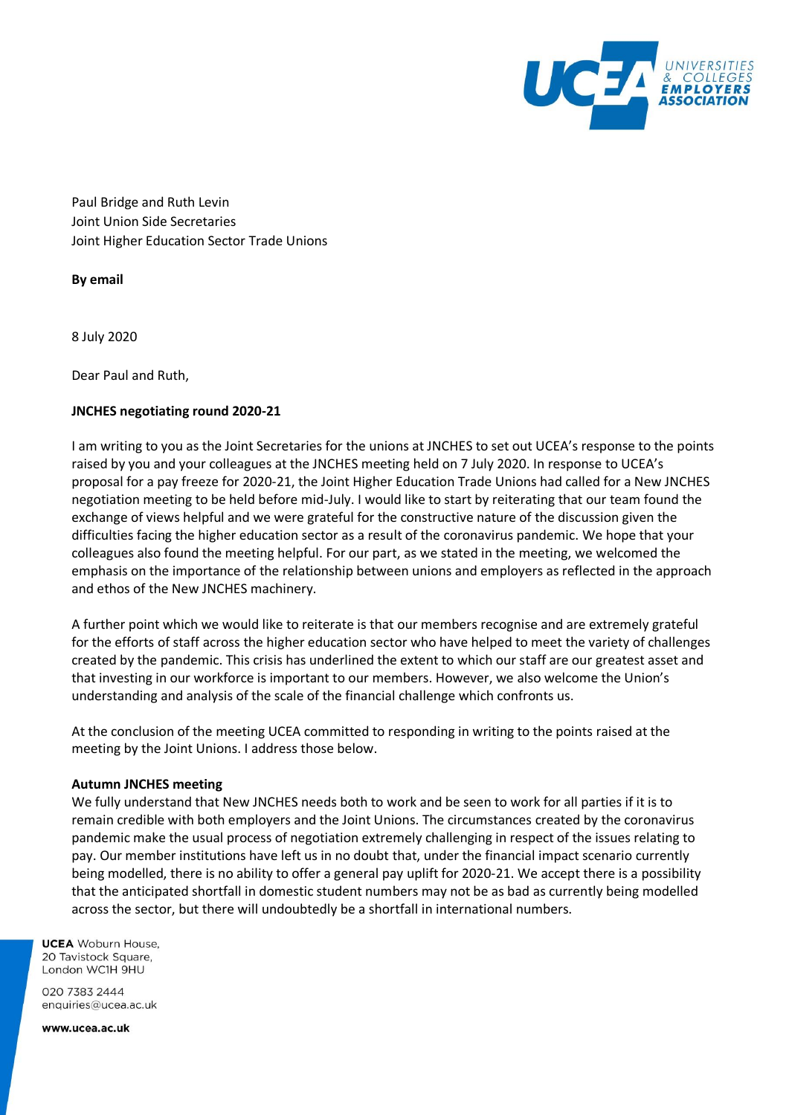

Paul Bridge and Ruth Levin Joint Union Side Secretaries Joint Higher Education Sector Trade Unions

**By email**

8 July 2020

Dear Paul and Ruth,

### **JNCHES negotiating round 2020-21**

I am writing to you as the Joint Secretaries for the unions at JNCHES to set out UCEA's response to the points raised by you and your colleagues at the JNCHES meeting held on 7 July 2020. In response to UCEA's proposal for a pay freeze for 2020-21, the Joint Higher Education Trade Unions had called for a New JNCHES negotiation meeting to be held before mid-July. I would like to start by reiterating that our team found the exchange of views helpful and we were grateful for the constructive nature of the discussion given the difficulties facing the higher education sector as a result of the coronavirus pandemic. We hope that your colleagues also found the meeting helpful. For our part, as we stated in the meeting, we welcomed the emphasis on the importance of the relationship between unions and employers as reflected in the approach and ethos of the New JNCHES machinery.

A further point which we would like to reiterate is that our members recognise and are extremely grateful for the efforts of staff across the higher education sector who have helped to meet the variety of challenges created by the pandemic. This crisis has underlined the extent to which our staff are our greatest asset and that investing in our workforce is important to our members. However, we also welcome the Union's understanding and analysis of the scale of the financial challenge which confronts us.

At the conclusion of the meeting UCEA committed to responding in writing to the points raised at the meeting by the Joint Unions. I address those below.

#### **Autumn JNCHES meeting**

We fully understand that New JNCHES needs both to work and be seen to work for all parties if it is to remain credible with both employers and the Joint Unions. The circumstances created by the coronavirus pandemic make the usual process of negotiation extremely challenging in respect of the issues relating to pay. Our member institutions have left us in no doubt that, under the financial impact scenario currently being modelled, there is no ability to offer a general pay uplift for 2020-21. We accept there is a possibility that the anticipated shortfall in domestic student numbers may not be as bad as currently being modelled across the sector, but there will undoubtedly be a shortfall in international numbers.

**UCEA** Woburn House. 20 Tavistock Square. London WC1H 9HU

020 7383 2444 enquiries@ucea.ac.uk

www.ucea.ac.uk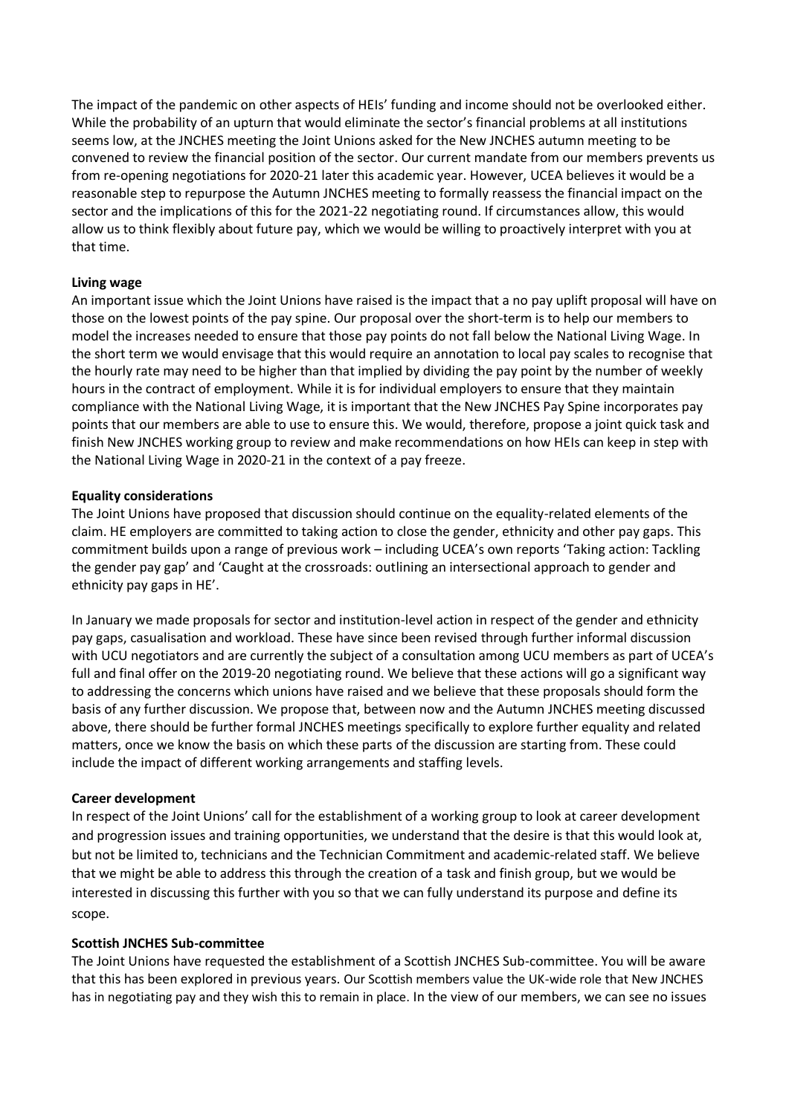The impact of the pandemic on other aspects of HEIs' funding and income should not be overlooked either. While the probability of an upturn that would eliminate the sector's financial problems at all institutions seems low, at the JNCHES meeting the Joint Unions asked for the New JNCHES autumn meeting to be convened to review the financial position of the sector. Our current mandate from our members prevents us from re-opening negotiations for 2020-21 later this academic year. However, UCEA believes it would be a reasonable step to repurpose the Autumn JNCHES meeting to formally reassess the financial impact on the sector and the implications of this for the 2021-22 negotiating round. If circumstances allow, this would allow us to think flexibly about future pay, which we would be willing to proactively interpret with you at that time.

### **Living wage**

An important issue which the Joint Unions have raised is the impact that a no pay uplift proposal will have on those on the lowest points of the pay spine. Our proposal over the short-term is to help our members to model the increases needed to ensure that those pay points do not fall below the National Living Wage. In the short term we would envisage that this would require an annotation to local pay scales to recognise that the hourly rate may need to be higher than that implied by dividing the pay point by the number of weekly hours in the contract of employment. While it is for individual employers to ensure that they maintain compliance with the National Living Wage, it is important that the New JNCHES Pay Spine incorporates pay points that our members are able to use to ensure this. We would, therefore, propose a joint quick task and finish New JNCHES working group to review and make recommendations on how HEIs can keep in step with the National Living Wage in 2020-21 in the context of a pay freeze.

### **Equality considerations**

The Joint Unions have proposed that discussion should continue on the equality-related elements of the claim. HE employers are committed to taking action to close the gender, ethnicity and other pay gaps. This commitment builds upon a range of previous work – including UCEA's own reports 'Taking action: Tackling the gender pay gap' and 'Caught at the crossroads: outlining an intersectional approach to gender and ethnicity pay gaps in HE'.

In January we made proposals for sector and institution-level action in respect of the gender and ethnicity pay gaps, casualisation and workload. These have since been revised through further informal discussion with UCU negotiators and are currently the subject of a consultation among UCU members as part of UCEA's full and final offer on the 2019-20 negotiating round. We believe that these actions will go a significant way to addressing the concerns which unions have raised and we believe that these proposals should form the basis of any further discussion. We propose that, between now and the Autumn JNCHES meeting discussed above, there should be further formal JNCHES meetings specifically to explore further equality and related matters, once we know the basis on which these parts of the discussion are starting from. These could include the impact of different working arrangements and staffing levels.

#### **Career development**

In respect of the Joint Unions' call for the establishment of a working group to look at career development and progression issues and training opportunities, we understand that the desire is that this would look at, but not be limited to, technicians and the Technician Commitment and academic-related staff. We believe that we might be able to address this through the creation of a task and finish group, but we would be interested in discussing this further with you so that we can fully understand its purpose and define its scope.

#### **Scottish JNCHES Sub-committee**

The Joint Unions have requested the establishment of a Scottish JNCHES Sub-committee. You will be aware that this has been explored in previous years. Our Scottish members value the UK-wide role that New JNCHES has in negotiating pay and they wish this to remain in place. In the view of our members, we can see no issues